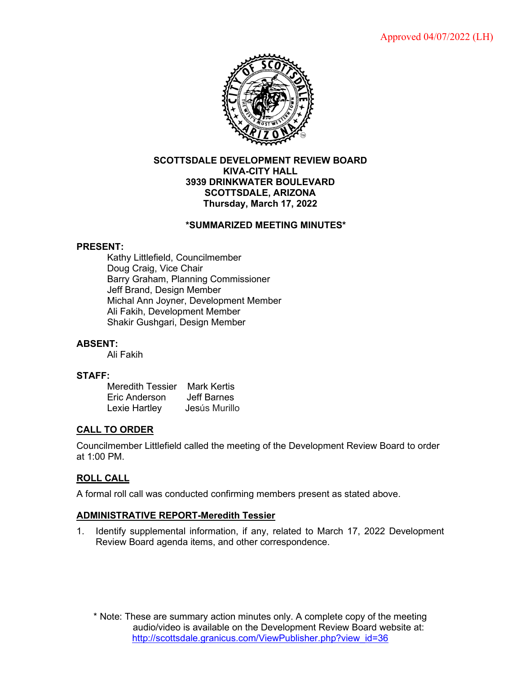

### **SCOTTSDALE DEVELOPMENT REVIEW BOARD KIVA-CITY HALL 3939 DRINKWATER BOULEVARD SCOTTSDALE, ARIZONA Thursday, March 17, 2022**

## **\*SUMMARIZED MEETING MINUTES\***

### **PRESENT:**

Kathy Littlefield, Councilmember Doug Craig, Vice Chair Barry Graham, Planning Commissioner Jeff Brand, Design Member Michal Ann Joyner, Development Member Ali Fakih, Development Member Shakir Gushgari, Design Member

## **ABSENT:**

Ali Fakih

### **STAFF:**

Meredith Tessier Mark Kertis Eric Anderson Jeff Barnes<br>Lexie Hartley Jesús Murillo Lexie Hartley

## **CALL TO ORDER**

Councilmember Littlefield called the meeting of the Development Review Board to order at 1:00 PM.

## **ROLL CALL**

A formal roll call was conducted confirming members present as stated above.

#### **ADMINISTRATIVE REPORT-Meredith Tessier**

1. Identify supplemental information, if any, related to March 17, 2022 Development Review Board agenda items, and other correspondence.

\* Note: These are summary action minutes only. A complete copy of the meeting audio/video is available on the Development Review Board website at: [http://scottsdale.granicus.com/ViewPublisher.php?view\\_id=36](http://scottsdale.granicus.com/ViewPublisher.php?view_id=36)